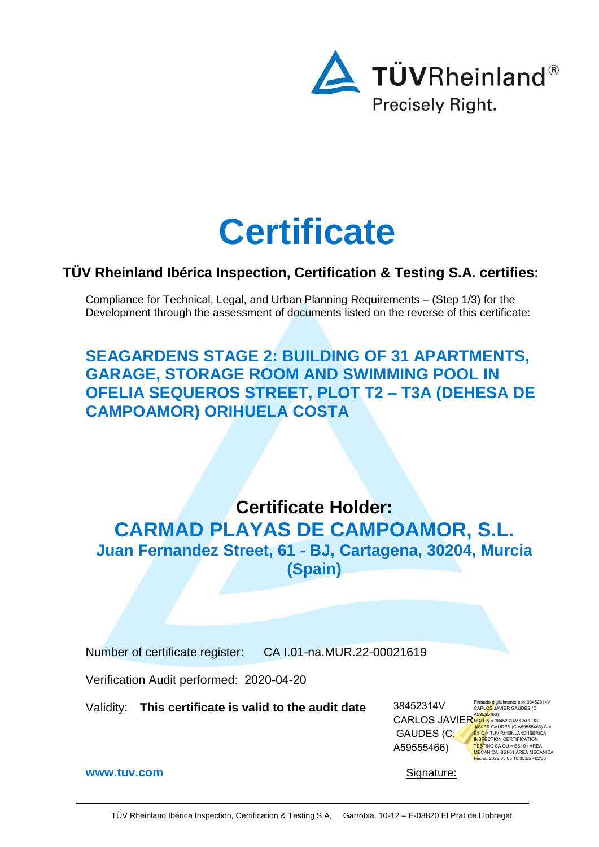

# **Certificate**

## **TÜV Rheinland Ibérica Inspection, Certification & Testing S.A. certifies:**

Compliance for Technical, Legal, and Urban Planning Requirements – (Step 1/3) for the Development through the assessment of documents listed on the reverse of this certificate:

**SEAGARDENS STAGE 2: BUILDING OF 31 APARTMENTS, GARAGE, STORAGE ROOM AND SWIMMING POOL IN OFELIA SEQUEROS STREET, PLOT T2 – T3A (DEHESA DE CAMPOAMOR) ORIHUELA COSTA**

**Certificate Holder: CARMAD PLAYAS DE CAMPOAMOR, S.L. Juan Fernandez Street, 61 - BJ, Cartagena, 30204, Murcia (Spain)**

Number of certificate register: CA I.01-na.MUR.22-00021619

Verification Audit performed: 2020-04-20

Validity: **This certificate is valid to the audit date**

Firmado digitalmente por: 38452314V<br>CARLOS JAVIER GAUDES (C:<br>A5<mark>95554</mark>66)<br><mark>NO: CN</mark> = 38452314V CARLOS<br>JAVIER GAUDES (C:A59555466) C = <mark>ES O</mark> = TUV RHEINLAND IBERICA<br>I<mark>NSP</mark>ECTION CERTIFICATION<br><mark>TES</mark>TING SA OU = BSI-01 ÁREA MECÁNICA, BSI-01 ÁREA MECÁNICA Fecha: 2022.05.05 10:35:55 +02'00' 38452314V CARLOS JAVIER GAUDES (C: A59555466)

**[www.tuv.com](http://www.tuv.com/)** Signature: **Signature:** Signature: **Signature:** Signature: **Signature:** Signature: **Signature:** Signature: **Signature:**  $\frac{1}{2}$